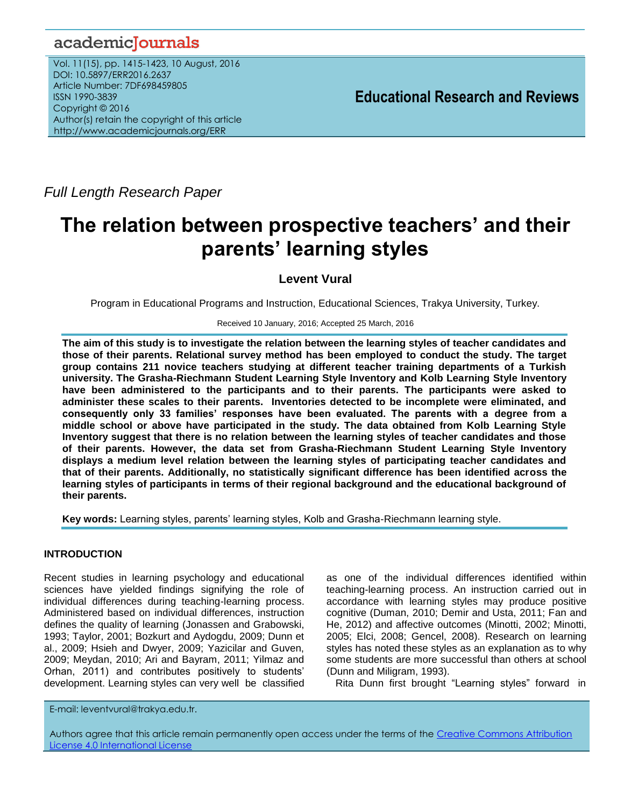# academicJournals

Vol. 11(15), pp. 1415-1423, 10 August, 2016 DOI: 10.5897/ERR2016.2637 Article Number: 7DF698459805 ISSN 1990-3839 Copyright © 2016 Author(s) retain the copyright of this article http://www.academicjournals.org/ERR

**Educational Research and Reviews**

*Full Length Research Paper*

# **The relation between prospective teachers' and their parents' learning styles**

**Levent Vural**

Program in Educational Programs and Instruction, Educational Sciences, Trakya University, Turkey.

Received 10 January, 2016; Accepted 25 March, 2016

**The aim of this study is to investigate the relation between the learning styles of teacher candidates and those of their parents. Relational survey method has been employed to conduct the study. The target group contains 211 novice teachers studying at different teacher training departments of a Turkish university. The Grasha-Riechmann Student Learning Style Inventory and Kolb Learning Style Inventory have been administered to the participants and to their parents. The participants were asked to administer these scales to their parents. Inventories detected to be incomplete were eliminated, and consequently only 33 families' responses have been evaluated. The parents with a degree from a middle school or above have participated in the study. The data obtained from Kolb Learning Style Inventory suggest that there is no relation between the learning styles of teacher candidates and those of their parents. However, the data set from Grasha-Riechmann Student Learning Style Inventory displays a medium level relation between the learning styles of participating teacher candidates and that of their parents. Additionally, no statistically significant difference has been identified across the learning styles of participants in terms of their regional background and the educational background of their parents.** 

**Key words:** Learning styles, parents' learning styles, Kolb and Grasha-Riechmann learning style.

# **INTRODUCTION**

Recent studies in learning psychology and educational sciences have yielded findings signifying the role of individual differences during teaching-learning process. Administered based on individual differences, instruction defines the quality of learning (Jonassen and Grabowski, 1993; Taylor, 2001; Bozkurt and Aydogdu, 2009; Dunn et al., 2009; Hsieh and Dwyer, 2009; Yazicilar and Guven, 2009; Meydan, 2010; Ari and Bayram, 2011; Yilmaz and Orhan, 2011) and contributes positively to students' development. Learning styles can very well be classified as one of the individual differences identified within teaching-learning process. An instruction carried out in accordance with learning styles may produce positive cognitive (Duman, 2010; Demir and Usta, 2011; Fan and He, 2012) and affective outcomes (Minotti, 2002; Minotti, 2005; Elci, 2008; Gencel, 2008). Research on learning styles has noted these styles as an explanation as to why some students are more successful than others at school (Dunn and Miligram, 1993).

Rita Dunn first brought "Learning styles" forward in

E-mail: leventvural@trakya.edu.tr.

Authors agree that this article remain permanently open access under the terms of the Creative Commons Attribution [License 4.0 International License](file://192.168.1.24/reading/Arts%20and%20Education/ERR/2014/sept/read/Correction%20Pdf%201/ERR-17.04.14-1816/Publication/Creative%20Co)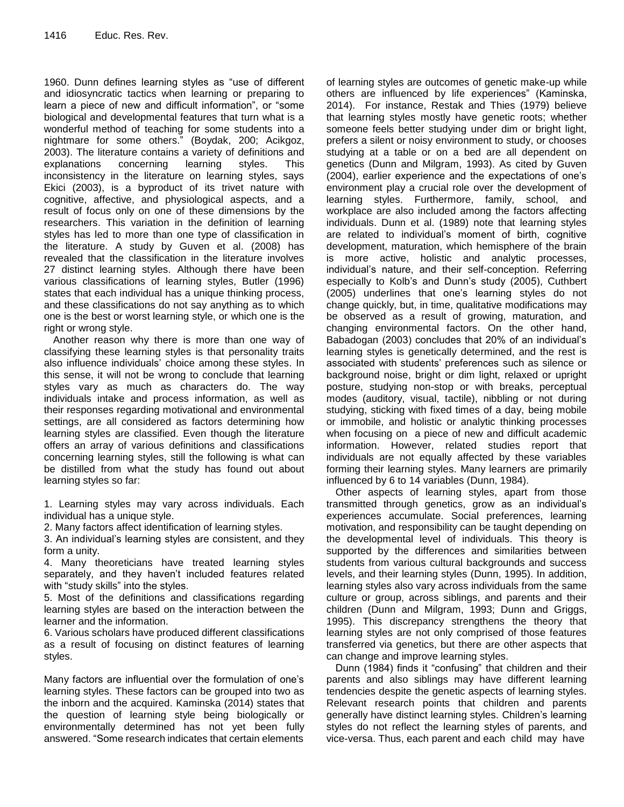1960. Dunn defines learning styles as "use of different and idiosyncratic tactics when learning or preparing to learn a piece of new and difficult information", or "some biological and developmental features that turn what is a wonderful method of teaching for some students into a nightmare for some others." (Boydak, 200; Acikgoz, 2003). The literature contains a variety of definitions and explanations concerning learning styles. This inconsistency in the literature on learning styles, says Ekici (2003), is a byproduct of its trivet nature with cognitive, affective, and physiological aspects, and a result of focus only on one of these dimensions by the researchers. This variation in the definition of learning styles has led to more than one type of classification in the literature. A study by Guven et al. (2008) has revealed that the classification in the literature involves 27 distinct learning styles. Although there have been various classifications of learning styles, Butler (1996) states that each individual has a unique thinking process, and these classifications do not say anything as to which one is the best or worst learning style, or which one is the right or wrong style.

Another reason why there is more than one way of classifying these learning styles is that personality traits also influence individuals' choice among these styles. In this sense, it will not be wrong to conclude that learning styles vary as much as characters do. The way individuals intake and process information, as well as their responses regarding motivational and environmental settings, are all considered as factors determining how learning styles are classified. Even though the literature offers an array of various definitions and classifications concerning learning styles, still the following is what can be distilled from what the study has found out about learning styles so far:

1. Learning styles may vary across individuals. Each individual has a unique style.

2. Many factors affect identification of learning styles.

3. An individual's learning styles are consistent, and they form a unity.

4. Many theoreticians have treated learning styles separately, and they haven't included features related with "study skills" into the styles.

5. Most of the definitions and classifications regarding learning styles are based on the interaction between the learner and the information.

6. Various scholars have produced different classifications as a result of focusing on distinct features of learning styles.

Many factors are influential over the formulation of one's learning styles. These factors can be grouped into two as the inborn and the acquired. Kaminska (2014) states that the question of learning style being biologically or environmentally determined has not yet been fully answered. "Some research indicates that certain elements of learning styles are outcomes of genetic make-up while others are influenced by life experiences" (Kaminska, 2014). For instance, Restak and Thies (1979) believe that learning styles mostly have genetic roots; whether someone feels better studying under dim or bright light, prefers a silent or noisy environment to study, or chooses studying at a table or on a bed are all dependent on genetics (Dunn and Milgram, 1993). As cited by Guven (2004), earlier experience and the expectations of one's environment play a crucial role over the development of learning styles. Furthermore, family, school, and workplace are also included among the factors affecting individuals. Dunn et al. (1989) note that learning styles are related to individual's moment of birth, cognitive development, maturation, which hemisphere of the brain is more active, holistic and analytic processes, individual's nature, and their self-conception. Referring especially to Kolb's and Dunn's study (2005), Cuthbert (2005) underlines that one's learning styles do not change quickly, but, in time, qualitative modifications may be observed as a result of growing, maturation, and changing environmental factors. On the other hand, Babadogan (2003) concludes that 20% of an individual's learning styles is genetically determined, and the rest is associated with students' preferences such as silence or background noise, bright or dim light, relaxed or upright posture, studying non-stop or with breaks, perceptual modes (auditory, visual, tactile), nibbling or not during studying, sticking with fixed times of a day, being mobile or immobile, and holistic or analytic thinking processes when focusing on a piece of new and difficult academic information. However, related studies report that individuals are not equally affected by these variables forming their learning styles. Many learners are primarily influenced by 6 to 14 variables (Dunn, 1984).

Other aspects of learning styles, apart from those transmitted through genetics, grow as an individual's experiences accumulate. Social preferences, learning motivation, and responsibility can be taught depending on the developmental level of individuals. This theory is supported by the differences and similarities between students from various cultural backgrounds and success levels, and their learning styles (Dunn, 1995). In addition, learning styles also vary across individuals from the same culture or group, across siblings, and parents and their children (Dunn and Milgram, 1993; Dunn and Griggs, 1995). This discrepancy strengthens the theory that learning styles are not only comprised of those features transferred via genetics, but there are other aspects that can change and improve learning styles.

Dunn (1984) finds it "confusing" that children and their parents and also siblings may have different learning tendencies despite the genetic aspects of learning styles. Relevant research points that children and parents generally have distinct learning styles. Children's learning styles do not reflect the learning styles of parents, and vice-versa. Thus, each parent and each child may have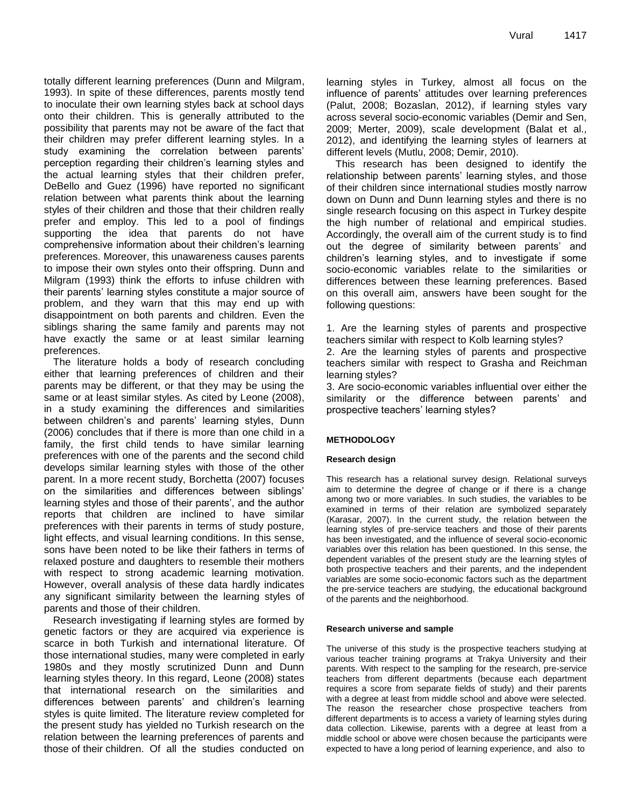totally different learning preferences (Dunn and Milgram, 1993). In spite of these differences, parents mostly tend to inoculate their own learning styles back at school days onto their children. This is generally attributed to the possibility that parents may not be aware of the fact that their children may prefer different learning styles. In a study examining the correlation between parents' perception regarding their children's learning styles and the actual learning styles that their children prefer, DeBello and Guez (1996) have reported no significant relation between what parents think about the learning styles of their children and those that their children really prefer and employ. This led to a pool of findings supporting the idea that parents do not have comprehensive information about their children's learning preferences. Moreover, this unawareness causes parents to impose their own styles onto their offspring. Dunn and Milgram (1993) think the efforts to infuse children with their parents' learning styles constitute a major source of problem, and they warn that this may end up with disappointment on both parents and children. Even the siblings sharing the same family and parents may not have exactly the same or at least similar learning preferences.

The literature holds a body of research concluding either that learning preferences of children and their parents may be different, or that they may be using the same or at least similar styles. As cited by Leone (2008), in a study examining the differences and similarities between children's and parents' learning styles, Dunn (2006) concludes that if there is more than one child in a family, the first child tends to have similar learning preferences with one of the parents and the second child develops similar learning styles with those of the other parent. In a more recent study, Borchetta (2007) focuses on the similarities and differences between siblings' learning styles and those of their parents', and the author reports that children are inclined to have similar preferences with their parents in terms of study posture, light effects, and visual learning conditions. In this sense, sons have been noted to be like their fathers in terms of relaxed posture and daughters to resemble their mothers with respect to strong academic learning motivation. However, overall analysis of these data hardly indicates any significant similarity between the learning styles of parents and those of their children.

Research investigating if learning styles are formed by genetic factors or they are acquired via experience is scarce in both Turkish and international literature. Of those international studies, many were completed in early 1980s and they mostly scrutinized Dunn and Dunn learning styles theory. In this regard, Leone (2008) states that international research on the similarities and differences between parents' and children's learning styles is quite limited. The literature review completed for the present study has yielded no Turkish research on the relation between the learning preferences of parents and those of their children. Of all the studies conducted on learning styles in Turkey, almost all focus on the influence of parents' attitudes over learning preferences (Palut, 2008; Bozaslan, 2012), if learning styles vary across several socio-economic variables (Demir and Sen, 2009; Merter, 2009), scale development (Balat et al., 2012), and identifying the learning styles of learners at different levels (Mutlu, 2008; Demir, 2010).

This research has been designed to identify the relationship between parents' learning styles, and those of their children since international studies mostly narrow down on Dunn and Dunn learning styles and there is no single research focusing on this aspect in Turkey despite the high number of relational and empirical studies. Accordingly, the overall aim of the current study is to find out the degree of similarity between parents' and children's learning styles, and to investigate if some socio-economic variables relate to the similarities or differences between these learning preferences. Based on this overall aim, answers have been sought for the following questions:

1. Are the learning styles of parents and prospective teachers similar with respect to Kolb learning styles? 2. Are the learning styles of parents and prospective teachers similar with respect to Grasha and Reichman learning styles?

3. Are socio-economic variables influential over either the similarity or the difference between parents' and prospective teachers' learning styles?

#### **METHODOLOGY**

#### **Research design**

This research has a relational survey design. Relational surveys aim to determine the degree of change or if there is a change among two or more variables. In such studies, the variables to be examined in terms of their relation are symbolized separately (Karasar, 2007). In the current study, the relation between the learning styles of pre-service teachers and those of their parents has been investigated, and the influence of several socio-economic variables over this relation has been questioned. In this sense, the dependent variables of the present study are the learning styles of both prospective teachers and their parents, and the independent variables are some socio-economic factors such as the department the pre-service teachers are studying, the educational background of the parents and the neighborhood.

#### **Research universe and sample**

The universe of this study is the prospective teachers studying at various teacher training programs at Trakya University and their parents. With respect to the sampling for the research, pre-service teachers from different departments (because each department requires a score from separate fields of study) and their parents with a degree at least from middle school and above were selected. The reason the researcher chose prospective teachers from different departments is to access a variety of learning styles during data collection. Likewise, parents with a degree at least from a middle school or above were chosen because the participants were expected to have a long period of learning experience, and also to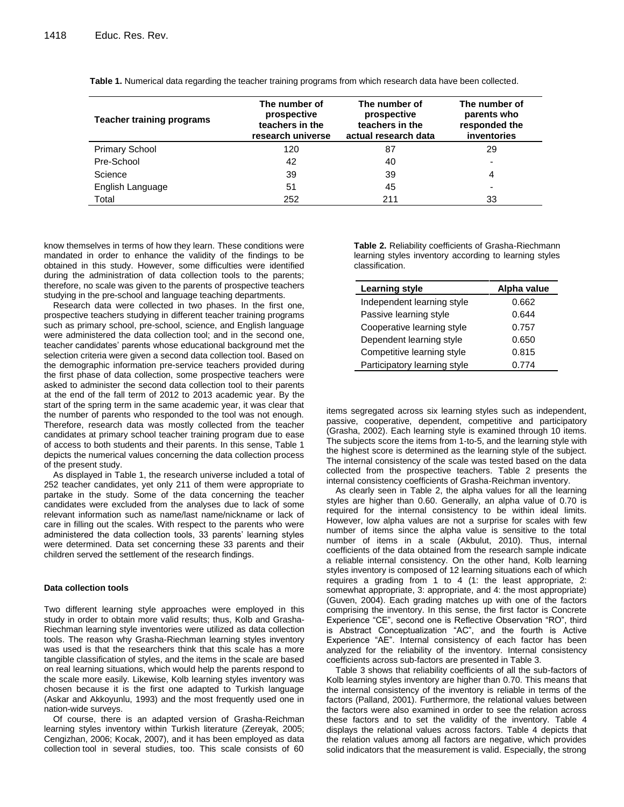| <b>Teacher training programs</b> | The number of<br>prospective<br>teachers in the<br>research universe | The number of<br>prospective<br>teachers in the<br>actual research data | The number of<br>parents who<br>responded the<br>inventories |
|----------------------------------|----------------------------------------------------------------------|-------------------------------------------------------------------------|--------------------------------------------------------------|
| <b>Primary School</b>            | 120                                                                  | 87                                                                      | 29                                                           |
| Pre-School                       | 42                                                                   | 40                                                                      | $\overline{\phantom{0}}$                                     |
| Science                          | 39                                                                   | 39                                                                      | 4                                                            |
| English Language                 | 51                                                                   | 45                                                                      | ۰                                                            |
| Total                            | 252                                                                  | 211                                                                     | 33                                                           |

**Table 1.** Numerical data regarding the teacher training programs from which research data have been collected.

know themselves in terms of how they learn. These conditions were mandated in order to enhance the validity of the findings to be obtained in this study. However, some difficulties were identified during the administration of data collection tools to the parents; therefore, no scale was given to the parents of prospective teachers studying in the pre-school and language teaching departments.

Research data were collected in two phases. In the first one, prospective teachers studying in different teacher training programs such as primary school, pre-school, science, and English language were administered the data collection tool; and in the second one, teacher candidates' parents whose educational background met the selection criteria were given a second data collection tool. Based on the demographic information pre-service teachers provided during the first phase of data collection, some prospective teachers were asked to administer the second data collection tool to their parents at the end of the fall term of 2012 to 2013 academic year. By the start of the spring term in the same academic year, it was clear that the number of parents who responded to the tool was not enough. Therefore, research data was mostly collected from the teacher candidates at primary school teacher training program due to ease of access to both students and their parents. In this sense, Table 1 depicts the numerical values concerning the data collection process of the present study.

As displayed in Table 1, the research universe included a total of 252 teacher candidates, yet only 211 of them were appropriate to partake in the study. Some of the data concerning the teacher candidates were excluded from the analyses due to lack of some relevant information such as name/last name/nickname or lack of care in filling out the scales. With respect to the parents who were administered the data collection tools, 33 parents' learning styles were determined. Data set concerning these 33 parents and their children served the settlement of the research findings.

#### **Data collection tools**

Two different learning style approaches were employed in this study in order to obtain more valid results; thus, Kolb and Grasha-Riechman learning style inventories were utilized as data collection tools. The reason why Grasha-Riechman learning styles inventory was used is that the researchers think that this scale has a more tangible classification of styles, and the items in the scale are based on real learning situations, which would help the parents respond to the scale more easily. Likewise, Kolb learning styles inventory was chosen because it is the first one adapted to Turkish language (Askar and Akkoyunlu, 1993) and the most frequently used one in nation-wide surveys.

Of course, there is an adapted version of Grasha-Reichman learning styles inventory within Turkish literature (Zereyak, 2005; Cengizhan, 2006; Kocak, 2007), and it has been employed as data collection tool in several studies, too. This scale consists of 60

**Table 2.** Reliability coefficients of Grasha-Riechmann learning styles inventory according to learning styles classification.

| <b>Learning style</b>        | Alpha value |
|------------------------------|-------------|
| Independent learning style   | 0.662       |
| Passive learning style       | 0.644       |
| Cooperative learning style   | 0.757       |
| Dependent learning style     | 0.650       |
| Competitive learning style   | 0.815       |
| Participatory learning style | 0.774       |

items segregated across six learning styles such as independent, passive, cooperative, dependent, competitive and participatory (Grasha, 2002). Each learning style is examined through 10 items. The subjects score the items from 1-to-5, and the learning style with the highest score is determined as the learning style of the subject. The internal consistency of the scale was tested based on the data collected from the prospective teachers. Table 2 presents the internal consistency coefficients of Grasha-Reichman inventory.

As clearly seen in Table 2, the alpha values for all the learning styles are higher than 0.60. Generally, an alpha value of 0.70 is required for the internal consistency to be within ideal limits. However, low alpha values are not a surprise for scales with few number of items since the alpha value is sensitive to the total number of items in a scale (Akbulut, 2010). Thus, internal coefficients of the data obtained from the research sample indicate a reliable internal consistency. On the other hand, Kolb learning styles inventory is composed of 12 learning situations each of which requires a grading from 1 to 4 (1: the least appropriate, 2: somewhat appropriate, 3: appropriate, and 4: the most appropriate) (Guven, 2004). Each grading matches up with one of the factors comprising the inventory. In this sense, the first factor is Concrete Experience "CE", second one is Reflective Observation "RO", third is Abstract Conceptualization "AC", and the fourth is Active Experience "AE". Internal consistency of each factor has been analyzed for the reliability of the inventory. Internal consistency coefficients across sub-factors are presented in Table 3.

Table 3 shows that reliability coefficients of all the sub-factors of Kolb learning styles inventory are higher than 0.70. This means that the internal consistency of the inventory is reliable in terms of the factors (Palland, 2001). Furthermore, the relational values between the factors were also examined in order to see the relation across these factors and to set the validity of the inventory. Table 4 displays the relational values across factors. Table 4 depicts that the relation values among all factors are negative, which provides solid indicators that the measurement is valid. Especially, the strong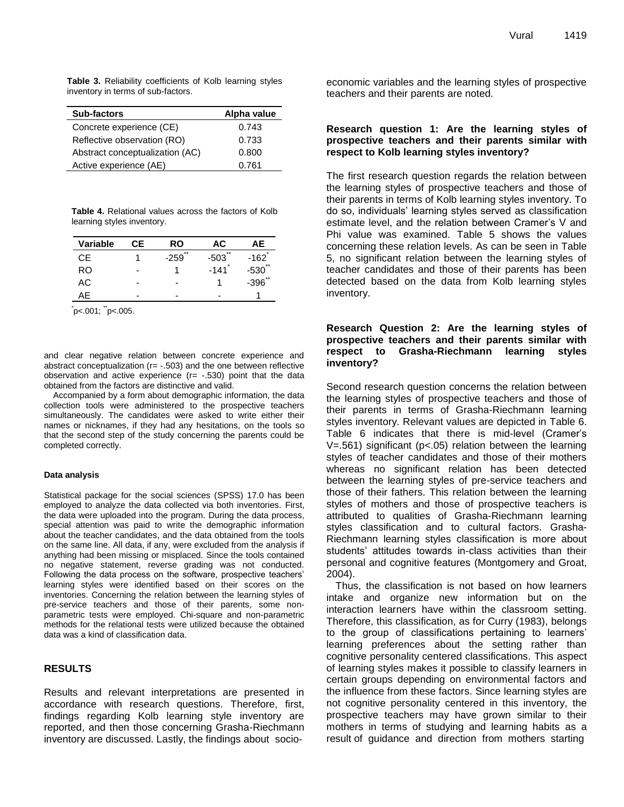**Table 3.** Reliability coefficients of Kolb learning styles inventory in terms of sub-factors.

| <b>Sub-factors</b>              | Alpha value |
|---------------------------------|-------------|
| Concrete experience (CE)        | 0.743       |
| Reflective observation (RO)     | 0.733       |
| Abstract conceptualization (AC) | 0.800       |
| Active experience (AE)          | 0.761       |

**Table 4.** Relational values across the factors of Kolb learning styles inventory.

| <b>Variable</b> | CЕ | <b>RO</b>                | AC              | AЕ          |
|-----------------|----|--------------------------|-----------------|-------------|
| CЕ              |    | $***$<br>$-259$          | $***$<br>$-503$ | $-162$      |
| RO              | -  |                          | $-141$          | $-530^{**}$ |
| AС              | -  | $\overline{\phantom{0}}$ |                 | $-396$ **   |
| AF              | -  | -                        | -               |             |

 $p<.001$ ;  $p<.005$ .

and clear negative relation between concrete experience and abstract conceptualization (r= -.503) and the one between reflective observation and active experience  $(r= -0.530)$  point that the data obtained from the factors are distinctive and valid.

Accompanied by a form about demographic information, the data collection tools were administered to the prospective teachers simultaneously. The candidates were asked to write either their names or nicknames, if they had any hesitations, on the tools so that the second step of the study concerning the parents could be completed correctly.

#### **Data analysis**

Statistical package for the social sciences (SPSS) 17.0 has been employed to analyze the data collected via both inventories. First, the data were uploaded into the program. During the data process, special attention was paid to write the demographic information about the teacher candidates, and the data obtained from the tools on the same line. All data, if any, were excluded from the analysis if anything had been missing or misplaced. Since the tools contained no negative statement, reverse grading was not conducted. Following the data process on the software, prospective teachers' learning styles were identified based on their scores on the inventories. Concerning the relation between the learning styles of pre-service teachers and those of their parents, some nonparametric tests were employed. Chi-square and non-parametric methods for the relational tests were utilized because the obtained data was a kind of classification data.

#### **RESULTS**

Results and relevant interpretations are presented in accordance with research questions. Therefore, first, findings regarding Kolb learning style inventory are reported, and then those concerning Grasha-Riechmann inventory are discussed. Lastly, the findings about socioeconomic variables and the learning styles of prospective teachers and their parents are noted.

#### **Research question 1: Are the learning styles of prospective teachers and their parents similar with respect to Kolb learning styles inventory?**

The first research question regards the relation between the learning styles of prospective teachers and those of their parents in terms of Kolb learning styles inventory. To do so, individuals' learning styles served as classification estimate level, and the relation between Cramer's V and Phi value was examined. Table 5 shows the values concerning these relation levels. As can be seen in Table 5, no significant relation between the learning styles of teacher candidates and those of their parents has been detected based on the data from Kolb learning styles inventory.

# **Research Question 2: Are the learning styles of prospective teachers and their parents similar with respect to Grasha-Riechmann learning styles inventory?**

Second research question concerns the relation between the learning styles of prospective teachers and those of their parents in terms of Grasha-Riechmann learning styles inventory. Relevant values are depicted in Table 6. Table 6 indicates that there is mid-level (Cramer's V=.561) significant (p<.05) relation between the learning styles of teacher candidates and those of their mothers whereas no significant relation has been detected between the learning styles of pre-service teachers and those of their fathers. This relation between the learning styles of mothers and those of prospective teachers is attributed to qualities of Grasha-Riechmann learning styles classification and to cultural factors. Grasha-Riechmann learning styles classification is more about students' attitudes towards in-class activities than their personal and cognitive features (Montgomery and Groat, 2004).

Thus, the classification is not based on how learners intake and organize new information but on the interaction learners have within the classroom setting. Therefore, this classification, as for Curry (1983), belongs to the group of classifications pertaining to learners' learning preferences about the setting rather than cognitive personality centered classifications. This aspect of learning styles makes it possible to classify learners in certain groups depending on environmental factors and the influence from these factors. Since learning styles are not cognitive personality centered in this inventory, the prospective teachers may have grown similar to their mothers in terms of studying and learning habits as a result of guidance and direction from mothers starting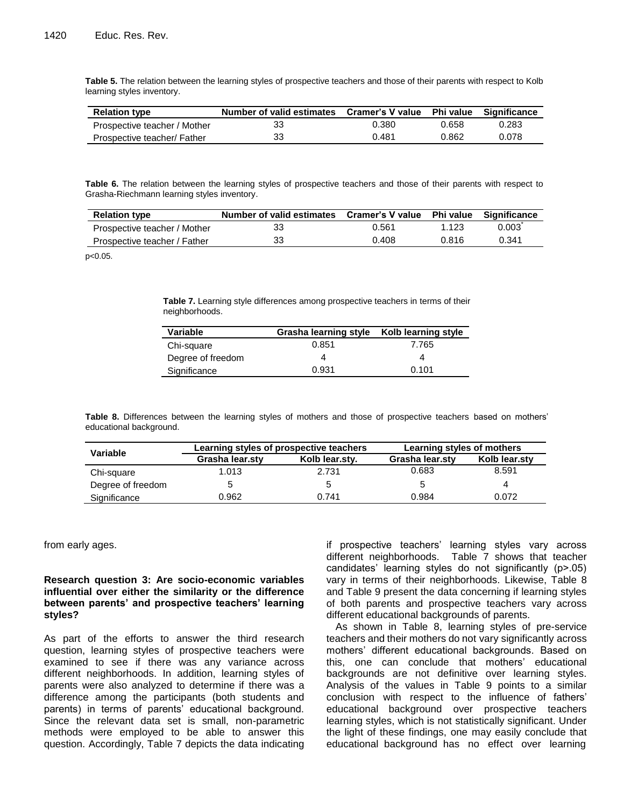**Table 5.** The relation between the learning styles of prospective teachers and those of their parents with respect to Kolb learning styles inventory.

| <b>Relation type</b>         | <b>Number of valid estimates</b> | Cramer's V value |       | Phi value Significance |
|------------------------------|----------------------------------|------------------|-------|------------------------|
| Prospective teacher / Mother | 33                               | 0.380            | 0.658 | 0.283                  |
| Prospective teacher/ Father  | 33                               | 0.481            | 0.862 | 0.078                  |

**Table 6.** The relation between the learning styles of prospective teachers and those of their parents with respect to Grasha-Riechmann learning styles inventory.

| <b>Relation type</b>         | Number of valid estimates | Cramer's V value  Phi value  Significance |       |       |
|------------------------------|---------------------------|-------------------------------------------|-------|-------|
| Prospective teacher / Mother | 33                        | 0.561                                     | 1.123 | 0.003 |
| Prospective teacher / Father | 33                        | 0.408                                     | 0.816 | 0.341 |

p<0.05.

**Table 7.** Learning style differences among prospective teachers in terms of their neighborhoods.

| Variable          | Grasha learning style | Kolb learning style |
|-------------------|-----------------------|---------------------|
| Chi-square        | 0.851                 | 7.765               |
| Degree of freedom |                       |                     |
| Significance      | 0.931                 | 0.101               |

**Table 8.** Differences between the learning styles of mothers and those of prospective teachers based on mothers' educational background.

| <b>Variable</b>   | Learning styles of prospective teachers |                | Learning styles of mothers |               |
|-------------------|-----------------------------------------|----------------|----------------------------|---------------|
|                   | Grasha lear.sty                         | Kolb lear.sty. | Grasha lear.sty            | Kolb lear.sty |
| Chi-square        | 1.013                                   | 2.731          | 0.683                      | 8.591         |
| Degree of freedom |                                         |                |                            |               |
| Significance      | 0.962                                   | 0.741          | 0.984                      | 0.072         |

from early ages.

#### **Research question 3: Are socio-economic variables influential over either the similarity or the difference between parents' and prospective teachers' learning styles?**

As part of the efforts to answer the third research question, learning styles of prospective teachers were examined to see if there was any variance across different neighborhoods. In addition, learning styles of parents were also analyzed to determine if there was a difference among the participants (both students and parents) in terms of parents' educational background. Since the relevant data set is small, non-parametric methods were employed to be able to answer this question. Accordingly, Table 7 depicts the data indicating if prospective teachers' learning styles vary across different neighborhoods. Table 7 shows that teacher candidates' learning styles do not significantly (p>.05) vary in terms of their neighborhoods. Likewise, Table 8 and Table 9 present the data concerning if learning styles of both parents and prospective teachers vary across different educational backgrounds of parents.

As shown in Table 8, learning styles of pre-service teachers and their mothers do not vary significantly across mothers' different educational backgrounds. Based on this, one can conclude that mothers' educational backgrounds are not definitive over learning styles. Analysis of the values in Table 9 points to a similar conclusion with respect to the influence of fathers' educational background over prospective teachers learning styles, which is not statistically significant. Under the light of these findings, one may easily conclude that educational background has no effect over learning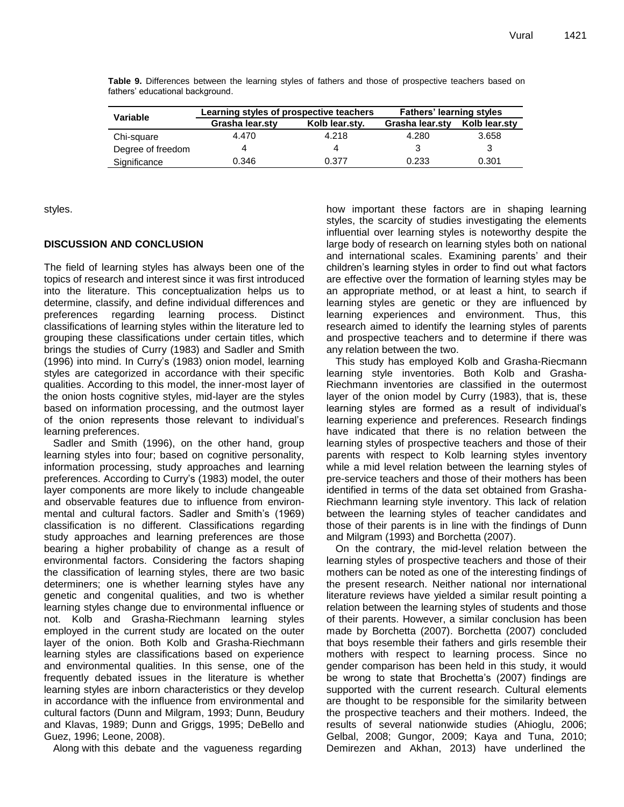| Variable          | Learning styles of prospective teachers |                | <b>Fathers' learning styles</b> |               |
|-------------------|-----------------------------------------|----------------|---------------------------------|---------------|
|                   | Grasha lear.sty                         | Kolb lear.sty. | Grasha lear.sty                 | Kolb lear.sty |
| Chi-square        | 4.470                                   | 4.218          | 4.280                           | 3.658         |
| Degree of freedom | Δ                                       |                | 3                               | ว             |
| Significance      | 0.346                                   | 0.377          | 0.233                           | 0.301         |

**Table 9.** Differences between the learning styles of fathers and those of prospective teachers based on fathers' educational background.

styles.

#### **DISCUSSION AND CONCLUSION**

The field of learning styles has always been one of the topics of research and interest since it was first introduced into the literature. This conceptualization helps us to determine, classify, and define individual differences and preferences regarding learning process. Distinct classifications of learning styles within the literature led to grouping these classifications under certain titles, which brings the studies of Curry (1983) and Sadler and Smith (1996) into mind. In Curry's (1983) onion model, learning styles are categorized in accordance with their specific qualities. According to this model, the inner-most layer of the onion hosts cognitive styles, mid-layer are the styles based on information processing, and the outmost layer of the onion represents those relevant to individual's learning preferences.

Sadler and Smith (1996), on the other hand, group learning styles into four; based on cognitive personality, information processing, study approaches and learning preferences. According to Curry's (1983) model, the outer layer components are more likely to include changeable and observable features due to influence from environmental and cultural factors. Sadler and Smith's (1969) classification is no different. Classifications regarding study approaches and learning preferences are those bearing a higher probability of change as a result of environmental factors. Considering the factors shaping the classification of learning styles, there are two basic determiners; one is whether learning styles have any genetic and congenital qualities, and two is whether learning styles change due to environmental influence or not. Kolb and Grasha-Riechmann learning styles employed in the current study are located on the outer layer of the onion. Both Kolb and Grasha-Riechmann learning styles are classifications based on experience and environmental qualities. In this sense, one of the frequently debated issues in the literature is whether learning styles are inborn characteristics or they develop in accordance with the influence from environmental and cultural factors (Dunn and Milgram, 1993; Dunn, Beudury and Klavas, 1989; Dunn and Griggs, 1995; DeBello and Guez, 1996; Leone, 2008).

Along with this debate and the vagueness regarding

how important these factors are in shaping learning styles, the scarcity of studies investigating the elements influential over learning styles is noteworthy despite the large body of research on learning styles both on national and international scales. Examining parents' and their children's learning styles in order to find out what factors are effective over the formation of learning styles may be an appropriate method, or at least a hint, to search if learning styles are genetic or they are influenced by learning experiences and environment. Thus, this research aimed to identify the learning styles of parents and prospective teachers and to determine if there was any relation between the two.

This study has employed Kolb and Grasha-Riecmann learning style inventories. Both Kolb and Grasha-Riechmann inventories are classified in the outermost layer of the onion model by Curry (1983), that is, these learning styles are formed as a result of individual's learning experience and preferences. Research findings have indicated that there is no relation between the learning styles of prospective teachers and those of their parents with respect to Kolb learning styles inventory while a mid level relation between the learning styles of pre-service teachers and those of their mothers has been identified in terms of the data set obtained from Grasha-Riechmann learning style inventory. This lack of relation between the learning styles of teacher candidates and those of their parents is in line with the findings of Dunn and Milgram (1993) and Borchetta (2007).

On the contrary, the mid-level relation between the learning styles of prospective teachers and those of their mothers can be noted as one of the interesting findings of the present research. Neither national nor international literature reviews have yielded a similar result pointing a relation between the learning styles of students and those of their parents. However, a similar conclusion has been made by Borchetta (2007). Borchetta (2007) concluded that boys resemble their fathers and girls resemble their mothers with respect to learning process. Since no gender comparison has been held in this study, it would be wrong to state that Brochetta's (2007) findings are supported with the current research. Cultural elements are thought to be responsible for the similarity between the prospective teachers and their mothers. Indeed, the results of several nationwide studies (Ahioglu, 2006; Gelbal, 2008; Gungor, 2009; Kaya and Tuna, 2010; Demirezen and Akhan, 2013) have underlined the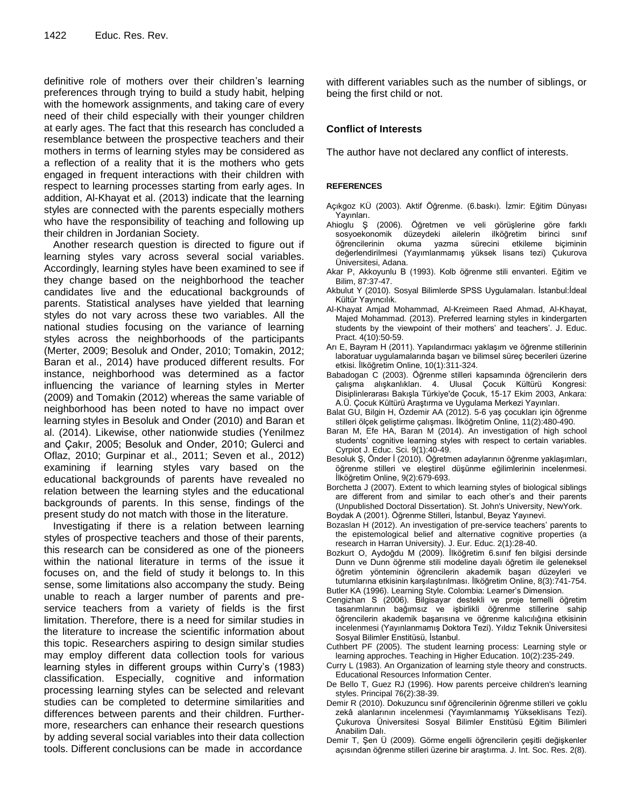definitive role of mothers over their children's learning preferences through trying to build a study habit, helping with the homework assignments, and taking care of every need of their child especially with their younger children at early ages. The fact that this research has concluded a resemblance between the prospective teachers and their mothers in terms of learning styles may be considered as a reflection of a reality that it is the mothers who gets engaged in frequent interactions with their children with respect to learning processes starting from early ages. In addition, Al-Khayat et al. (2013) indicate that the learning styles are connected with the parents especially mothers who have the responsibility of teaching and following up their children in Jordanian Society.

Another research question is directed to figure out if learning styles vary across several social variables. Accordingly, learning styles have been examined to see if they change based on the neighborhood the teacher candidates live and the educational backgrounds of parents. Statistical analyses have yielded that learning styles do not vary across these two variables. All the national studies focusing on the variance of learning styles across the neighborhoods of the participants (Merter, 2009; Besoluk and Onder, 2010; Tomakin, 2012; Baran et al., 2014) have produced different results. For instance, neighborhood was determined as a factor influencing the variance of learning styles in Merter (2009) and Tomakin (2012) whereas the same variable of neighborhood has been noted to have no impact over learning styles in Besoluk and Onder (2010) and Baran et al. (2014). Likewise, other nationwide studies (Yenilmez and Çakır, 2005; Besoluk and Onder, 2010; Gulerci and Oflaz, 2010; Gurpinar et al., 2011; Seven et al., 2012) examining if learning styles vary based on the educational backgrounds of parents have revealed no relation between the learning styles and the educational backgrounds of parents. In this sense, findings of the present study do not match with those in the literature.

Investigating if there is a relation between learning styles of prospective teachers and those of their parents, this research can be considered as one of the pioneers within the national literature in terms of the issue it focuses on, and the field of study it belongs to. In this sense, some limitations also accompany the study. Being unable to reach a larger number of parents and preservice teachers from a variety of fields is the first limitation. Therefore, there is a need for similar studies in the literature to increase the scientific information about this topic. Researchers aspiring to design similar studies may employ different data collection tools for various learning styles in different groups within Curry's (1983) classification. Especially, cognitive and information processing learning styles can be selected and relevant studies can be completed to determine similarities and differences between parents and their children. Furthermore, researchers can enhance their research questions by adding several social variables into their data collection tools. Different conclusions can be made in accordance

with different variables such as the number of siblings, or being the first child or not.

# **Conflict of Interests**

The author have not declared any conflict of interests.

#### **REFERENCES**

- Açıkgoz KÜ (2003). Aktif Öğrenme. (6.baskı). İzmir: Eğitim Dünyası Yayınları.
- Ahioglu Ş (2006). Öğretmen ve veli görüşlerine göre farklı düzeydeki ailelerin ilköğretim birinci sınıf öğrencilerinin okuma yazma sürecini etkileme biçiminin değerlendirilmesi (Yayımlanmamış yüksek lisans tezi) Çukurova Üniversitesi, Adana.
- Akar P, Akkoyunlu B (1993). Kolb öğrenme stili envanteri. Eğitim ve Bilim, 87:37-47.
- Akbulut Y (2010). Sosyal Bilimlerde SPSS Uygulamaları. İstanbul:İdeal Kültür Yayıncılık.
- Al-Khayat Amjad Mohammad, Al-Kreimeen Raed Ahmad, Al-Khayat, Majed Mohammad. (2013). Preferred learning styles in kindergarten students by the viewpoint of their mothers' and teachers'. J. Educ. Pract. 4(10):50-59.
- Arı E, Bayram H (2011). Yapılandırmacı yaklaşım ve öğrenme stillerinin laboratuar uygulamalarında başarı ve bilimsel süreç becerileri üzerine etkisi. İlköğretim Online, 10(1):311-324.
- Babadogan C (2003). Öğrenme stilleri kapsamında öğrencilerin ders çalışma alışkanlıkları. 4. Ulusal Çocuk Kültürü Kongresi: Disiplinlerarası Bakışla Türkiye'de Çocuk, 15-17 Ekim 2003, Ankara: A.Ü. Çocuk Kültürü Araştırma ve Uygulama Merkezi Yayınları.
- Balat GU, Bilgin H, Özdemir AA (2012). 5-6 yaş çocukları için öğrenme stilleri ölçek geliştirme çalışması. İlköğretim Online, 11(2):480-490.
- Baran M, Efe HA, Baran M (2014). An investigation of high school students' cognitive learning styles with respect to certain variables. Cyrpiot J. Educ. Sci. 9(1):40-49.
- Besoluk Ş, Önder İ (2010). Öğretmen adaylarının öğrenme yaklaşımları, öğrenme stilleri ve eleştirel düşünme eğilimlerinin incelenmesi. İlköğretim Online, 9(2):679-693.
- Borchetta J (2007). Extent to which learning styles of biological siblings are different from and similar to each other's and their parents (Unpublished Doctoral Dissertation). St. John's University, NewYork.
- Boydak A (2001). Öğrenme Stilleri, İstanbul, Beyaz Yayınevi.
- Bozaslan H (2012). An investigation of pre-service teachers' parents to the epistemological belief and alternative cognitive properties (a research in Harran University). J. Eur. Educ. 2(1):28-40.
- Bozkurt O, Aydoğdu M (2009). İlköğretim 6.sınıf fen bilgisi dersinde Dunn ve Dunn öğrenme stili modeline dayalı öğretim ile geleneksel öğretim yönteminin öğrencilerin akademik başarı düzeyleri ve tutumlarına etkisinin karşılaştırılması. İlköğretim Online, 8(3):741-754. Butler KA (1996). Learning Style. Colombia: Learner's Dimension.
- Cengizhan S (2006). Bilgisayar destekli ve proje temelli öğretim tasarımlarının bağımsız ve işbirlikli öğrenme stillerine sahip öğrencilerin akademik başarısına ve öğrenme kalıcılığına etkisinin incelenmesi (Yayınlanmamış Doktora Tezi). Yıldız Teknik Üniversitesi Sosyal Bilimler Enstitüsü, İstanbul.
- Cuthbert PF (2005). The student learning process: Learning style or learning approches. Teaching in Higher Education. 10(2):235-249.
- Curry L (1983). An Organization of learning style theory and constructs. Educational Resources Information Center.
- De Bello T, Guez RJ (1996). How parents perceive children's learning styles. Principal 76(2):38-39.
- Demir R (2010). Dokuzuncu sınıf öğrencilerinin öğrenme stilleri ve çoklu zekâ alanlarının incelenmesi (Yayımlanmamış Yükseklisans Tezi). Çukurova Üniversitesi Sosyal Bilimler Enstitüsü Eğitim Bilimleri Anabilim Dalı.
- Demir T, Şen Ü (2009). Görme engelli öğrencilerin çeşitli değişkenler açısından öğrenme stilleri üzerine bir araştırma. J. Int. Soc. Res. 2(8).